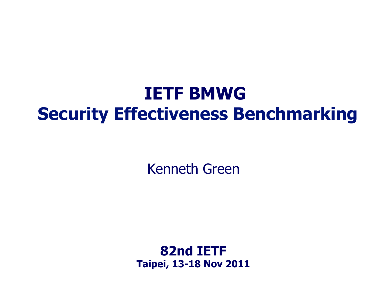# **IETF BMWG Security Effectiveness Benchmarking**

Kenneth Green

**82nd IETF Taipei, 13-18 Nov 2011**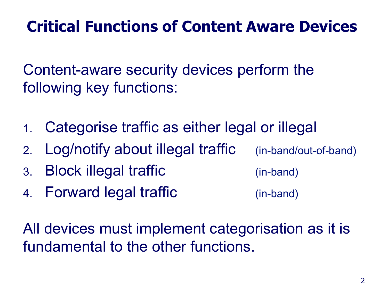### **Critical Functions of Content Aware Devices**

Content-aware security devices perform the following key functions:

- 1. Categorise traffic as either legal or illegal
- 2. Log/notify about illegal traffic (in-band/out-of-band)
- 3. Block illegal traffic (in-band)
- 4. Forward legal traffic (in-band)

All devices must implement categorisation as it is fundamental to the other functions.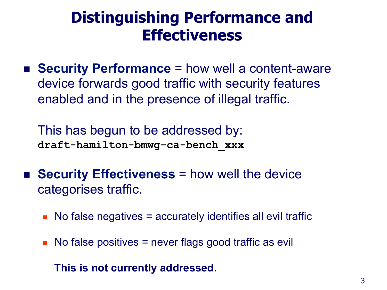#### **Distinguishing Performance and Effectiveness**

■ **Security Performance** = how well a content-aware device forwards good traffic with security features enabled and in the presence of illegal traffic.

This has begun to be addressed by: **draft-hamilton-bmwg-ca-bench\_xxx** 

- **EXECUTE Security Effectiveness** = how well the device categorises traffic.
	- No false negatives = accurately identifies all evil traffic
	- $\blacksquare$  No false positives = never flags good traffic as evil

**This is not currently addressed.**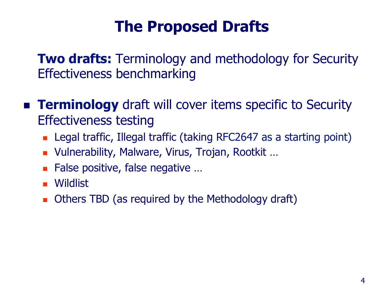### **The Proposed Drafts**

**Two drafts:** Terminology and methodology for Security Effectiveness benchmarking

- **Example 1 Terminology** draft will cover items specific to Security Effectiveness testing
	- **E.** Legal traffic, Illegal traffic (taking RFC2647 as a starting point)
	- Vulnerability, Malware, Virus, Trojan, Rootkit ...
	- False positive, false negative ...
	- **.** Wildlist
	- **.** Others TBD (as required by the Methodology draft)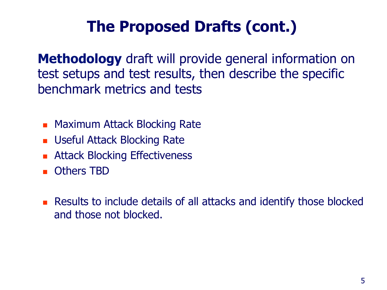# **The Proposed Drafts (cont.)**

**Methodology** draft will provide general information on test setups and test results, then describe the specific benchmark metrics and tests

- **E.** Maximum Attack Blocking Rate
- **E.** Useful Attack Blocking Rate
- ! Attack Blocking Effectiveness
- ! Others TBD
- **EXECUTE:** Results to include details of all attacks and identify those blocked and those not blocked.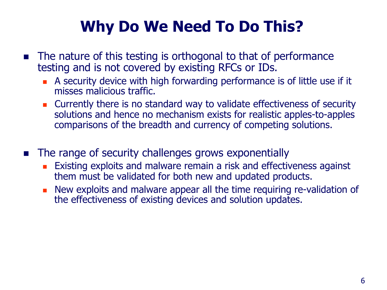# **Why Do We Need To Do This?**

- **If the nature of this testing is orthogonal to that of performance** testing and is not covered by existing RFCs or IDs.
	- **EX A security device with high forwarding performance is of little use if it** misses malicious traffic.
	- **EXECUTERENT CULTERET IS CULTER** is no standard way to validate effectiveness of security solutions and hence no mechanism exists for realistic apples-to-apples comparisons of the breadth and currency of competing solutions.
- The range of security challenges grows exponentially
	- **Existing exploits and malware remain a risk and effectiveness against** them must be validated for both new and updated products.
	- **.** New exploits and malware appear all the time requiring re-validation of the effectiveness of existing devices and solution updates.